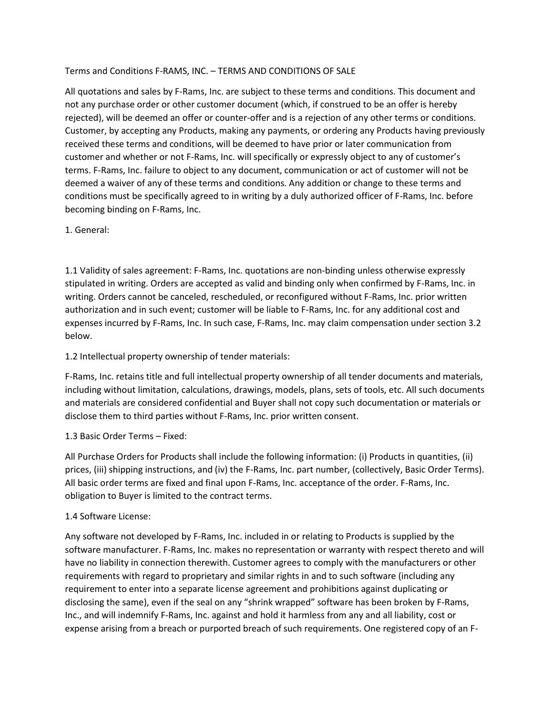### Terms and Conditions F-RAMS, INC. – TERMS AND CONDITIONS OF SALE

All quotations and sales by F-Rams, Inc. are subject to these terms and conditions. This document and not any purchase order or other customer document (which, if construed to be an offer is hereby rejected), will be deemed an offer or counter-offer and is a rejection of any other terms or conditions. Customer, by accepting any Products, making any payments, or ordering any Products having previously received these terms and conditions, will be deemed to have prior or later communication from customer and whether or not F-Rams, Inc. will specifically or expressly object to any of customer's terms. F-Rams, Inc. failure to object to any document, communication or act of customer will not be deemed a waiver of any of these terms and conditions. Any addition or change to these terms and conditions must be specifically agreed to in writing by a duly authorized officer of F-Rams, Inc. before becoming binding on F-Rams, Inc.

1. General:

1.1 Validity of sales agreement: F-Rams, Inc. quotations are non-binding unless otherwise expressly stipulated in writing. Orders are accepted as valid and binding only when confirmed by F-Rams, Inc. in writing. Orders cannot be canceled, rescheduled, or reconfigured without F-Rams, Inc. prior written authorization and in such event; customer will be liable to F-Rams, Inc. for any additional cost and expenses incurred by F-Rams, Inc. In such case, F-Rams, Inc. may claim compensation under section 3.2 below.

1.2 Intellectual property ownership of tender materials:

F-Rams, Inc. retains title and full intellectual property ownership of all tender documents and materials, including without limitation, calculations, drawings, models, plans, sets of tools, etc. All such documents and materials are considered confidential and Buyer shall not copy such documentation or materials or disclose them to third parties without F-Rams, Inc. prior written consent.

### 1.3 Basic Order Terms – Fixed:

All Purchase Orders for Products shall include the following information: (i) Products in quantities, (ii) prices, (iii) shipping instructions, and (iv) the F-Rams, Inc. part number, (collectively, Basic Order Terms). All basic order terms are fixed and final upon F-Rams, Inc. acceptance of the order. F-Rams, Inc. obligation to Buyer is limited to the contract terms.

### 1.4 Software License:

Any software not developed by F-Rams, Inc. included in or relating to Products is supplied by the software manufacturer. F-Rams, Inc. makes no representation or warranty with respect thereto and will have no liability in connection therewith. Customer agrees to comply with the manufacturers or other requirements with regard to proprietary and similar rights in and to such software (including any requirement to enter into a separate license agreement and prohibitions against duplicating or disclosing the same), even if the seal on any "shrink wrapped" software has been broken by F-Rams, Inc., and will indemnify F-Rams, Inc. against and hold it harmless from any and all liability, cost or expense arising from a breach or purported breach of such requirements. One registered copy of an F-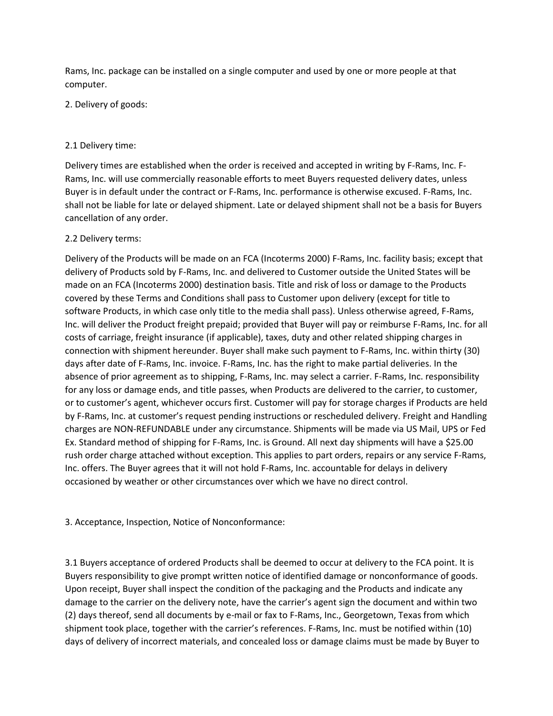Rams, Inc. package can be installed on a single computer and used by one or more people at that computer.

2. Delivery of goods:

### 2.1 Delivery time:

Delivery times are established when the order is received and accepted in writing by F-Rams, Inc. F-Rams, Inc. will use commercially reasonable efforts to meet Buyers requested delivery dates, unless Buyer is in default under the contract or F-Rams, Inc. performance is otherwise excused. F-Rams, Inc. shall not be liable for late or delayed shipment. Late or delayed shipment shall not be a basis for Buyers cancellation of any order.

## 2.2 Delivery terms:

Delivery of the Products will be made on an FCA (Incoterms 2000) F-Rams, Inc. facility basis; except that delivery of Products sold by F-Rams, Inc. and delivered to Customer outside the United States will be made on an FCA (Incoterms 2000) destination basis. Title and risk of loss or damage to the Products covered by these Terms and Conditions shall pass to Customer upon delivery (except for title to software Products, in which case only title to the media shall pass). Unless otherwise agreed, F-Rams, Inc. will deliver the Product freight prepaid; provided that Buyer will pay or reimburse F-Rams, Inc. for all costs of carriage, freight insurance (if applicable), taxes, duty and other related shipping charges in connection with shipment hereunder. Buyer shall make such payment to F-Rams, Inc. within thirty (30) days after date of F-Rams, Inc. invoice. F-Rams, Inc. has the right to make partial deliveries. In the absence of prior agreement as to shipping, F-Rams, Inc. may select a carrier. F-Rams, Inc. responsibility for any loss or damage ends, and title passes, when Products are delivered to the carrier, to customer, or to customer's agent, whichever occurs first. Customer will pay for storage charges if Products are held by F-Rams, Inc. at customer's request pending instructions or rescheduled delivery. Freight and Handling charges are NON-REFUNDABLE under any circumstance. Shipments will be made via US Mail, UPS or Fed Ex. Standard method of shipping for F-Rams, Inc. is Ground. All next day shipments will have a \$25.00 rush order charge attached without exception. This applies to part orders, repairs or any service F-Rams, Inc. offers. The Buyer agrees that it will not hold F-Rams, Inc. accountable for delays in delivery occasioned by weather or other circumstances over which we have no direct control.

3. Acceptance, Inspection, Notice of Nonconformance:

3.1 Buyers acceptance of ordered Products shall be deemed to occur at delivery to the FCA point. It is Buyers responsibility to give prompt written notice of identified damage or nonconformance of goods. Upon receipt, Buyer shall inspect the condition of the packaging and the Products and indicate any damage to the carrier on the delivery note, have the carrier's agent sign the document and within two (2) days thereof, send all documents by e-mail or fax to F-Rams, Inc., Georgetown, Texas from which shipment took place, together with the carrier's references. F-Rams, Inc. must be notified within (10) days of delivery of incorrect materials, and concealed loss or damage claims must be made by Buyer to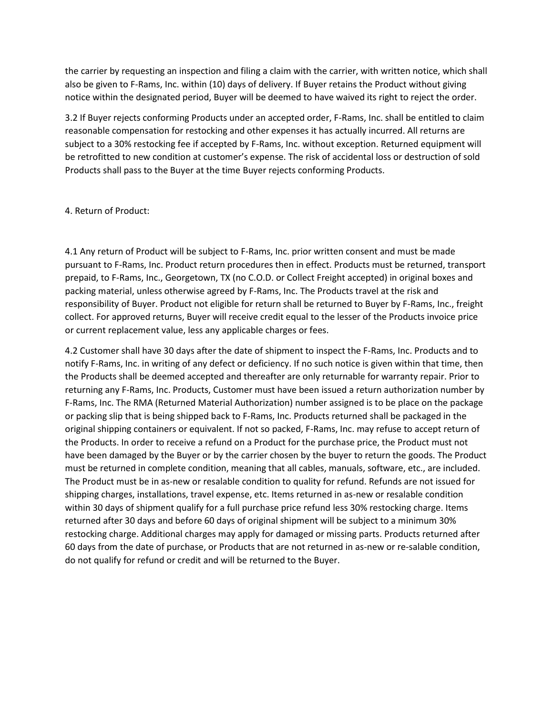the carrier by requesting an inspection and filing a claim with the carrier, with written notice, which shall also be given to F-Rams, Inc. within (10) days of delivery. If Buyer retains the Product without giving notice within the designated period, Buyer will be deemed to have waived its right to reject the order.

3.2 If Buyer rejects conforming Products under an accepted order, F-Rams, Inc. shall be entitled to claim reasonable compensation for restocking and other expenses it has actually incurred. All returns are subject to a 30% restocking fee if accepted by F-Rams, Inc. without exception. Returned equipment will be retrofitted to new condition at customer's expense. The risk of accidental loss or destruction of sold Products shall pass to the Buyer at the time Buyer rejects conforming Products.

### 4. Return of Product:

4.1 Any return of Product will be subject to F-Rams, Inc. prior written consent and must be made pursuant to F-Rams, Inc. Product return procedures then in effect. Products must be returned, transport prepaid, to F-Rams, Inc., Georgetown, TX (no C.O.D. or Collect Freight accepted) in original boxes and packing material, unless otherwise agreed by F-Rams, Inc. The Products travel at the risk and responsibility of Buyer. Product not eligible for return shall be returned to Buyer by F-Rams, Inc., freight collect. For approved returns, Buyer will receive credit equal to the lesser of the Products invoice price or current replacement value, less any applicable charges or fees.

4.2 Customer shall have 30 days after the date of shipment to inspect the F-Rams, Inc. Products and to notify F-Rams, Inc. in writing of any defect or deficiency. If no such notice is given within that time, then the Products shall be deemed accepted and thereafter are only returnable for warranty repair. Prior to returning any F-Rams, Inc. Products, Customer must have been issued a return authorization number by F-Rams, Inc. The RMA (Returned Material Authorization) number assigned is to be place on the package or packing slip that is being shipped back to F-Rams, Inc. Products returned shall be packaged in the original shipping containers or equivalent. If not so packed, F-Rams, Inc. may refuse to accept return of the Products. In order to receive a refund on a Product for the purchase price, the Product must not have been damaged by the Buyer or by the carrier chosen by the buyer to return the goods. The Product must be returned in complete condition, meaning that all cables, manuals, software, etc., are included. The Product must be in as-new or resalable condition to quality for refund. Refunds are not issued for shipping charges, installations, travel expense, etc. Items returned in as-new or resalable condition within 30 days of shipment qualify for a full purchase price refund less 30% restocking charge. Items returned after 30 days and before 60 days of original shipment will be subject to a minimum 30% restocking charge. Additional charges may apply for damaged or missing parts. Products returned after 60 days from the date of purchase, or Products that are not returned in as-new or re-salable condition, do not qualify for refund or credit and will be returned to the Buyer.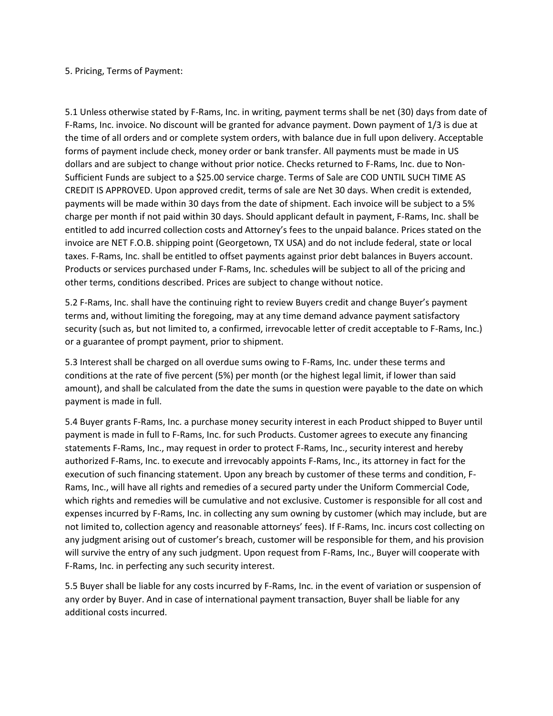#### 5. Pricing, Terms of Payment:

5.1 Unless otherwise stated by F-Rams, Inc. in writing, payment terms shall be net (30) days from date of F-Rams, Inc. invoice. No discount will be granted for advance payment. Down payment of 1/3 is due at the time of all orders and or complete system orders, with balance due in full upon delivery. Acceptable forms of payment include check, money order or bank transfer. All payments must be made in US dollars and are subject to change without prior notice. Checks returned to F-Rams, Inc. due to Non-Sufficient Funds are subject to a \$25.00 service charge. Terms of Sale are COD UNTIL SUCH TIME AS CREDIT IS APPROVED. Upon approved credit, terms of sale are Net 30 days. When credit is extended, payments will be made within 30 days from the date of shipment. Each invoice will be subject to a 5% charge per month if not paid within 30 days. Should applicant default in payment, F-Rams, Inc. shall be entitled to add incurred collection costs and Attorney's fees to the unpaid balance. Prices stated on the invoice are NET F.O.B. shipping point (Georgetown, TX USA) and do not include federal, state or local taxes. F-Rams, Inc. shall be entitled to offset payments against prior debt balances in Buyers account. Products or services purchased under F-Rams, Inc. schedules will be subject to all of the pricing and other terms, conditions described. Prices are subject to change without notice.

5.2 F-Rams, Inc. shall have the continuing right to review Buyers credit and change Buyer's payment terms and, without limiting the foregoing, may at any time demand advance payment satisfactory security (such as, but not limited to, a confirmed, irrevocable letter of credit acceptable to F-Rams, Inc.) or a guarantee of prompt payment, prior to shipment.

5.3 Interest shall be charged on all overdue sums owing to F-Rams, Inc. under these terms and conditions at the rate of five percent (5%) per month (or the highest legal limit, if lower than said amount), and shall be calculated from the date the sums in question were payable to the date on which payment is made in full.

5.4 Buyer grants F-Rams, Inc. a purchase money security interest in each Product shipped to Buyer until payment is made in full to F-Rams, Inc. for such Products. Customer agrees to execute any financing statements F-Rams, Inc., may request in order to protect F-Rams, Inc., security interest and hereby authorized F-Rams, Inc. to execute and irrevocably appoints F-Rams, Inc., its attorney in fact for the execution of such financing statement. Upon any breach by customer of these terms and condition, F-Rams, Inc., will have all rights and remedies of a secured party under the Uniform Commercial Code, which rights and remedies will be cumulative and not exclusive. Customer is responsible for all cost and expenses incurred by F-Rams, Inc. in collecting any sum owning by customer (which may include, but are not limited to, collection agency and reasonable attorneys' fees). If F-Rams, Inc. incurs cost collecting on any judgment arising out of customer's breach, customer will be responsible for them, and his provision will survive the entry of any such judgment. Upon request from F-Rams, Inc., Buyer will cooperate with F-Rams, Inc. in perfecting any such security interest.

5.5 Buyer shall be liable for any costs incurred by F-Rams, Inc. in the event of variation or suspension of any order by Buyer. And in case of international payment transaction, Buyer shall be liable for any additional costs incurred.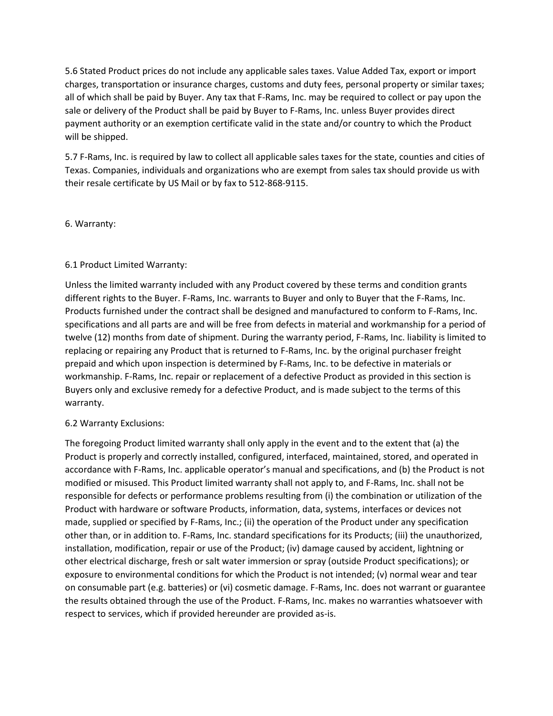5.6 Stated Product prices do not include any applicable sales taxes. Value Added Tax, export or import charges, transportation or insurance charges, customs and duty fees, personal property or similar taxes; all of which shall be paid by Buyer. Any tax that F-Rams, Inc. may be required to collect or pay upon the sale or delivery of the Product shall be paid by Buyer to F-Rams, Inc. unless Buyer provides direct payment authority or an exemption certificate valid in the state and/or country to which the Product will be shipped.

5.7 F-Rams, Inc. is required by law to collect all applicable sales taxes for the state, counties and cities of Texas. Companies, individuals and organizations who are exempt from sales tax should provide us with their resale certificate by US Mail or by fax to 512-868-9115.

### 6. Warranty:

### 6.1 Product Limited Warranty:

Unless the limited warranty included with any Product covered by these terms and condition grants different rights to the Buyer. F-Rams, Inc. warrants to Buyer and only to Buyer that the F-Rams, Inc. Products furnished under the contract shall be designed and manufactured to conform to F-Rams, Inc. specifications and all parts are and will be free from defects in material and workmanship for a period of twelve (12) months from date of shipment. During the warranty period, F-Rams, Inc. liability is limited to replacing or repairing any Product that is returned to F-Rams, Inc. by the original purchaser freight prepaid and which upon inspection is determined by F-Rams, Inc. to be defective in materials or workmanship. F-Rams, Inc. repair or replacement of a defective Product as provided in this section is Buyers only and exclusive remedy for a defective Product, and is made subject to the terms of this warranty.

#### 6.2 Warranty Exclusions:

The foregoing Product limited warranty shall only apply in the event and to the extent that (a) the Product is properly and correctly installed, configured, interfaced, maintained, stored, and operated in accordance with F-Rams, Inc. applicable operator's manual and specifications, and (b) the Product is not modified or misused. This Product limited warranty shall not apply to, and F-Rams, Inc. shall not be responsible for defects or performance problems resulting from (i) the combination or utilization of the Product with hardware or software Products, information, data, systems, interfaces or devices not made, supplied or specified by F-Rams, Inc.; (ii) the operation of the Product under any specification other than, or in addition to. F-Rams, Inc. standard specifications for its Products; (iii) the unauthorized, installation, modification, repair or use of the Product; (iv) damage caused by accident, lightning or other electrical discharge, fresh or salt water immersion or spray (outside Product specifications); or exposure to environmental conditions for which the Product is not intended; (v) normal wear and tear on consumable part (e.g. batteries) or (vi) cosmetic damage. F-Rams, Inc. does not warrant or guarantee the results obtained through the use of the Product. F-Rams, Inc. makes no warranties whatsoever with respect to services, which if provided hereunder are provided as-is.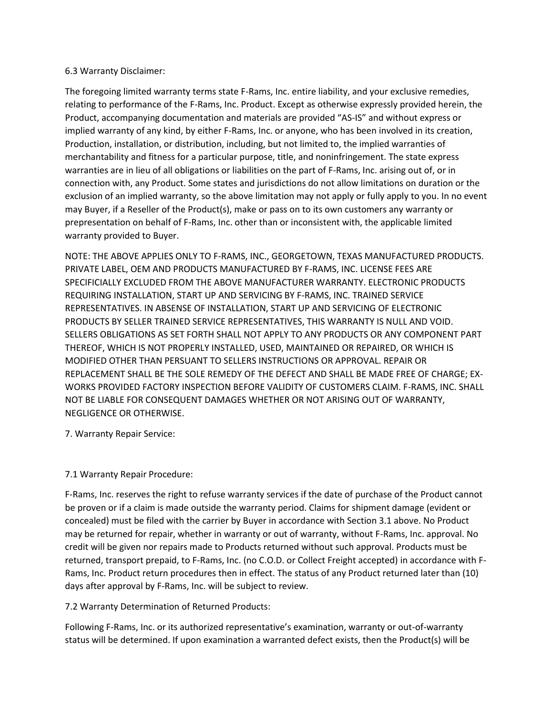### 6.3 Warranty Disclaimer:

The foregoing limited warranty terms state F-Rams, Inc. entire liability, and your exclusive remedies, relating to performance of the F-Rams, Inc. Product. Except as otherwise expressly provided herein, the Product, accompanying documentation and materials are provided "AS-IS" and without express or implied warranty of any kind, by either F-Rams, Inc. or anyone, who has been involved in its creation, Production, installation, or distribution, including, but not limited to, the implied warranties of merchantability and fitness for a particular purpose, title, and noninfringement. The state express warranties are in lieu of all obligations or liabilities on the part of F-Rams, Inc. arising out of, or in connection with, any Product. Some states and jurisdictions do not allow limitations on duration or the exclusion of an implied warranty, so the above limitation may not apply or fully apply to you. In no event may Buyer, if a Reseller of the Product(s), make or pass on to its own customers any warranty or prepresentation on behalf of F-Rams, Inc. other than or inconsistent with, the applicable limited warranty provided to Buyer.

NOTE: THE ABOVE APPLIES ONLY TO F-RAMS, INC., GEORGETOWN, TEXAS MANUFACTURED PRODUCTS. PRIVATE LABEL, OEM AND PRODUCTS MANUFACTURED BY F-RAMS, INC. LICENSE FEES ARE SPECIFICIALLY EXCLUDED FROM THE ABOVE MANUFACTURER WARRANTY. ELECTRONIC PRODUCTS REQUIRING INSTALLATION, START UP AND SERVICING BY F-RAMS, INC. TRAINED SERVICE REPRESENTATIVES. IN ABSENSE OF INSTALLATION, START UP AND SERVICING OF ELECTRONIC PRODUCTS BY SELLER TRAINED SERVICE REPRESENTATIVES, THIS WARRANTY IS NULL AND VOID. SELLERS OBLIGATIONS AS SET FORTH SHALL NOT APPLY TO ANY PRODUCTS OR ANY COMPONENT PART THEREOF, WHICH IS NOT PROPERLY INSTALLED, USED, MAINTAINED OR REPAIRED, OR WHICH IS MODIFIED OTHER THAN PERSUANT TO SELLERS INSTRUCTIONS OR APPROVAL. REPAIR OR REPLACEMENT SHALL BE THE SOLE REMEDY OF THE DEFECT AND SHALL BE MADE FREE OF CHARGE; EX-WORKS PROVIDED FACTORY INSPECTION BEFORE VALIDITY OF CUSTOMERS CLAIM. F-RAMS, INC. SHALL NOT BE LIABLE FOR CONSEQUENT DAMAGES WHETHER OR NOT ARISING OUT OF WARRANTY, NEGLIGENCE OR OTHERWISE.

7. Warranty Repair Service:

### 7.1 Warranty Repair Procedure:

F-Rams, Inc. reserves the right to refuse warranty services if the date of purchase of the Product cannot be proven or if a claim is made outside the warranty period. Claims for shipment damage (evident or concealed) must be filed with the carrier by Buyer in accordance with Section 3.1 above. No Product may be returned for repair, whether in warranty or out of warranty, without F-Rams, Inc. approval. No credit will be given nor repairs made to Products returned without such approval. Products must be returned, transport prepaid, to F-Rams, Inc. (no C.O.D. or Collect Freight accepted) in accordance with F-Rams, Inc. Product return procedures then in effect. The status of any Product returned later than (10) days after approval by F-Rams, Inc. will be subject to review.

7.2 Warranty Determination of Returned Products:

Following F-Rams, Inc. or its authorized representative's examination, warranty or out-of-warranty status will be determined. If upon examination a warranted defect exists, then the Product(s) will be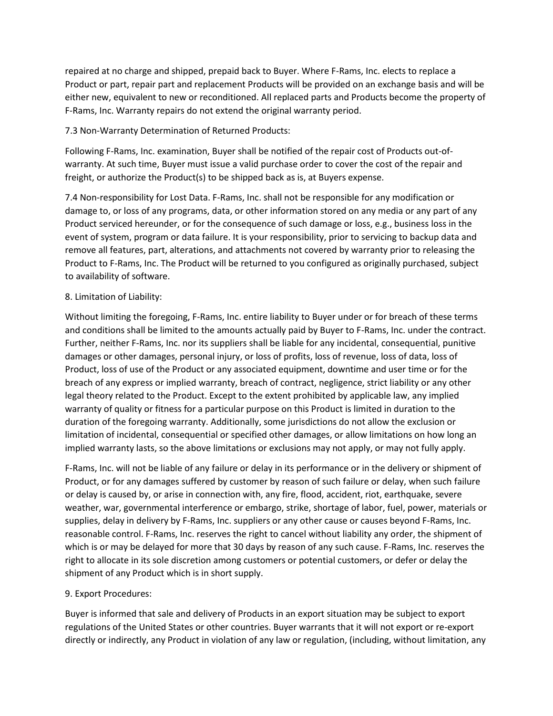repaired at no charge and shipped, prepaid back to Buyer. Where F-Rams, Inc. elects to replace a Product or part, repair part and replacement Products will be provided on an exchange basis and will be either new, equivalent to new or reconditioned. All replaced parts and Products become the property of F-Rams, Inc. Warranty repairs do not extend the original warranty period.

### 7.3 Non-Warranty Determination of Returned Products:

Following F-Rams, Inc. examination, Buyer shall be notified of the repair cost of Products out-ofwarranty. At such time, Buyer must issue a valid purchase order to cover the cost of the repair and freight, or authorize the Product(s) to be shipped back as is, at Buyers expense.

7.4 Non-responsibility for Lost Data. F-Rams, Inc. shall not be responsible for any modification or damage to, or loss of any programs, data, or other information stored on any media or any part of any Product serviced hereunder, or for the consequence of such damage or loss, e.g., business loss in the event of system, program or data failure. It is your responsibility, prior to servicing to backup data and remove all features, part, alterations, and attachments not covered by warranty prior to releasing the Product to F-Rams, Inc. The Product will be returned to you configured as originally purchased, subject to availability of software.

## 8. Limitation of Liability:

Without limiting the foregoing, F-Rams, Inc. entire liability to Buyer under or for breach of these terms and conditions shall be limited to the amounts actually paid by Buyer to F-Rams, Inc. under the contract. Further, neither F-Rams, Inc. nor its suppliers shall be liable for any incidental, consequential, punitive damages or other damages, personal injury, or loss of profits, loss of revenue, loss of data, loss of Product, loss of use of the Product or any associated equipment, downtime and user time or for the breach of any express or implied warranty, breach of contract, negligence, strict liability or any other legal theory related to the Product. Except to the extent prohibited by applicable law, any implied warranty of quality or fitness for a particular purpose on this Product is limited in duration to the duration of the foregoing warranty. Additionally, some jurisdictions do not allow the exclusion or limitation of incidental, consequential or specified other damages, or allow limitations on how long an implied warranty lasts, so the above limitations or exclusions may not apply, or may not fully apply.

F-Rams, Inc. will not be liable of any failure or delay in its performance or in the delivery or shipment of Product, or for any damages suffered by customer by reason of such failure or delay, when such failure or delay is caused by, or arise in connection with, any fire, flood, accident, riot, earthquake, severe weather, war, governmental interference or embargo, strike, shortage of labor, fuel, power, materials or supplies, delay in delivery by F-Rams, Inc. suppliers or any other cause or causes beyond F-Rams, Inc. reasonable control. F-Rams, Inc. reserves the right to cancel without liability any order, the shipment of which is or may be delayed for more that 30 days by reason of any such cause. F-Rams, Inc. reserves the right to allocate in its sole discretion among customers or potential customers, or defer or delay the shipment of any Product which is in short supply.

### 9. Export Procedures:

Buyer is informed that sale and delivery of Products in an export situation may be subject to export regulations of the United States or other countries. Buyer warrants that it will not export or re-export directly or indirectly, any Product in violation of any law or regulation, (including, without limitation, any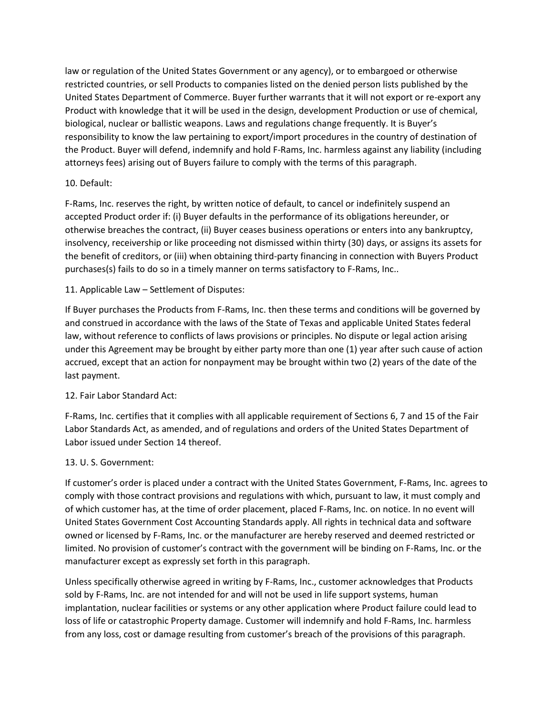law or regulation of the United States Government or any agency), or to embargoed or otherwise restricted countries, or sell Products to companies listed on the denied person lists published by the United States Department of Commerce. Buyer further warrants that it will not export or re-export any Product with knowledge that it will be used in the design, development Production or use of chemical, biological, nuclear or ballistic weapons. Laws and regulations change frequently. It is Buyer's responsibility to know the law pertaining to export/import procedures in the country of destination of the Product. Buyer will defend, indemnify and hold F-Rams, Inc. harmless against any liability (including attorneys fees) arising out of Buyers failure to comply with the terms of this paragraph.

## 10. Default:

F-Rams, Inc. reserves the right, by written notice of default, to cancel or indefinitely suspend an accepted Product order if: (i) Buyer defaults in the performance of its obligations hereunder, or otherwise breaches the contract, (ii) Buyer ceases business operations or enters into any bankruptcy, insolvency, receivership or like proceeding not dismissed within thirty (30) days, or assigns its assets for the benefit of creditors, or (iii) when obtaining third-party financing in connection with Buyers Product purchases(s) fails to do so in a timely manner on terms satisfactory to F-Rams, Inc..

## 11. Applicable Law – Settlement of Disputes:

If Buyer purchases the Products from F-Rams, Inc. then these terms and conditions will be governed by and construed in accordance with the laws of the State of Texas and applicable United States federal law, without reference to conflicts of laws provisions or principles. No dispute or legal action arising under this Agreement may be brought by either party more than one (1) year after such cause of action accrued, except that an action for nonpayment may be brought within two (2) years of the date of the last payment.

# 12. Fair Labor Standard Act:

F-Rams, Inc. certifies that it complies with all applicable requirement of Sections 6, 7 and 15 of the Fair Labor Standards Act, as amended, and of regulations and orders of the United States Department of Labor issued under Section 14 thereof.

### 13. U. S. Government:

If customer's order is placed under a contract with the United States Government, F-Rams, Inc. agrees to comply with those contract provisions and regulations with which, pursuant to law, it must comply and of which customer has, at the time of order placement, placed F-Rams, Inc. on notice. In no event will United States Government Cost Accounting Standards apply. All rights in technical data and software owned or licensed by F-Rams, Inc. or the manufacturer are hereby reserved and deemed restricted or limited. No provision of customer's contract with the government will be binding on F-Rams, Inc. or the manufacturer except as expressly set forth in this paragraph.

Unless specifically otherwise agreed in writing by F-Rams, Inc., customer acknowledges that Products sold by F-Rams, Inc. are not intended for and will not be used in life support systems, human implantation, nuclear facilities or systems or any other application where Product failure could lead to loss of life or catastrophic Property damage. Customer will indemnify and hold F-Rams, Inc. harmless from any loss, cost or damage resulting from customer's breach of the provisions of this paragraph.